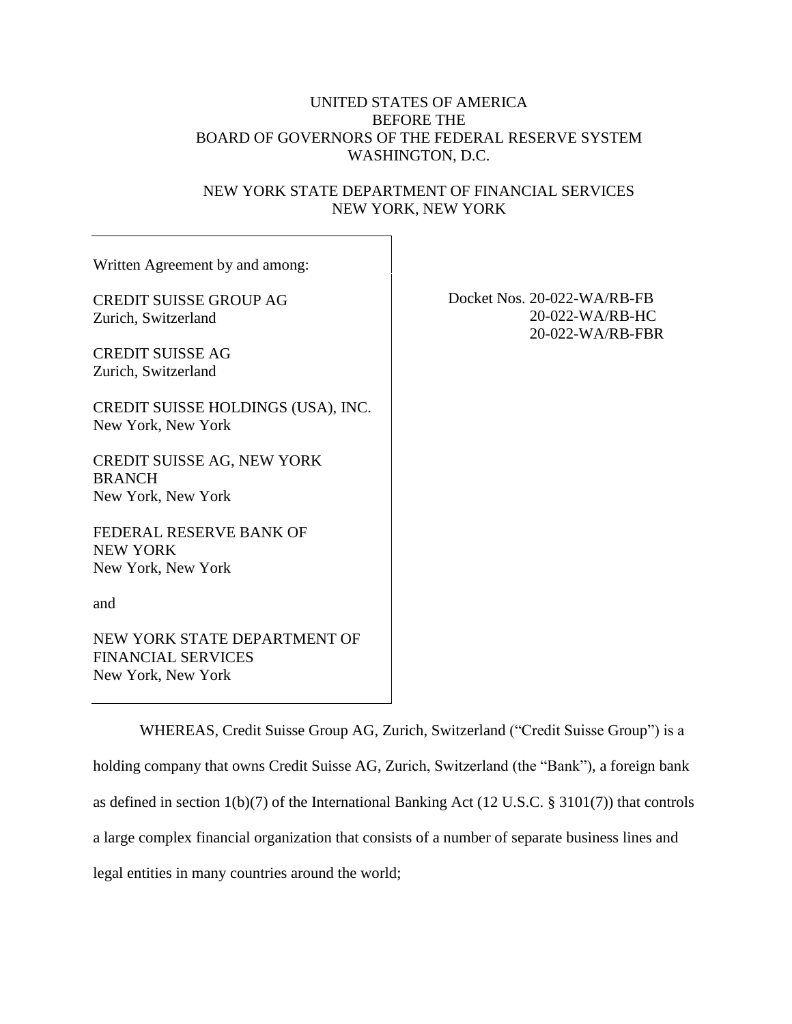# UNITED STATES OF AMERICA BEFORE THE BOARD OF GOVERNORS OF THE FEDERAL RESERVE SYSTEM WASHINGTON, D.C.

# NEW YORK STATE DEPARTMENT OF FINANCIAL SERVICES NEW YORK, NEW YORK

| Written Agreement by and among:                                   |               |
|-------------------------------------------------------------------|---------------|
| <b>CREDIT SUISSE GROUP AG</b><br>Zurich, Switzerland              | Docket Nos. 2 |
| <b>CREDIT SUISSE AG</b><br>Zurich, Switzerland                    |               |
| CREDIT SUISSE HOLDINGS (USA), INC.<br>New York, New York          |               |
| CREDIT SUISSE AG, NEW YORK<br><b>BRANCH</b><br>New York, New York |               |
| FEDERAL RESERVE BANK OF<br>NEW YORK<br>New York, New York         |               |
| and                                                               |               |
| NEW YORK STATE DEPARTMENT OF<br><b>FINANCIAL SERVICES</b>         |               |

New York, New York

20-022-WA/RB-FB 20-022-WA/RB-HC 20-022-WA/RB-FBR

WHEREAS, Credit Suisse Group AG, Zurich, Switzerland ("Credit Suisse Group") is a holding company that owns Credit Suisse AG, Zurich, Switzerland (the "Bank"), a foreign bank as defined in section 1(b)(7) of the International Banking Act (12 U.S.C. § 3101(7)) that controls a large complex financial organization that consists of a number of separate business lines and legal entities in many countries around the world;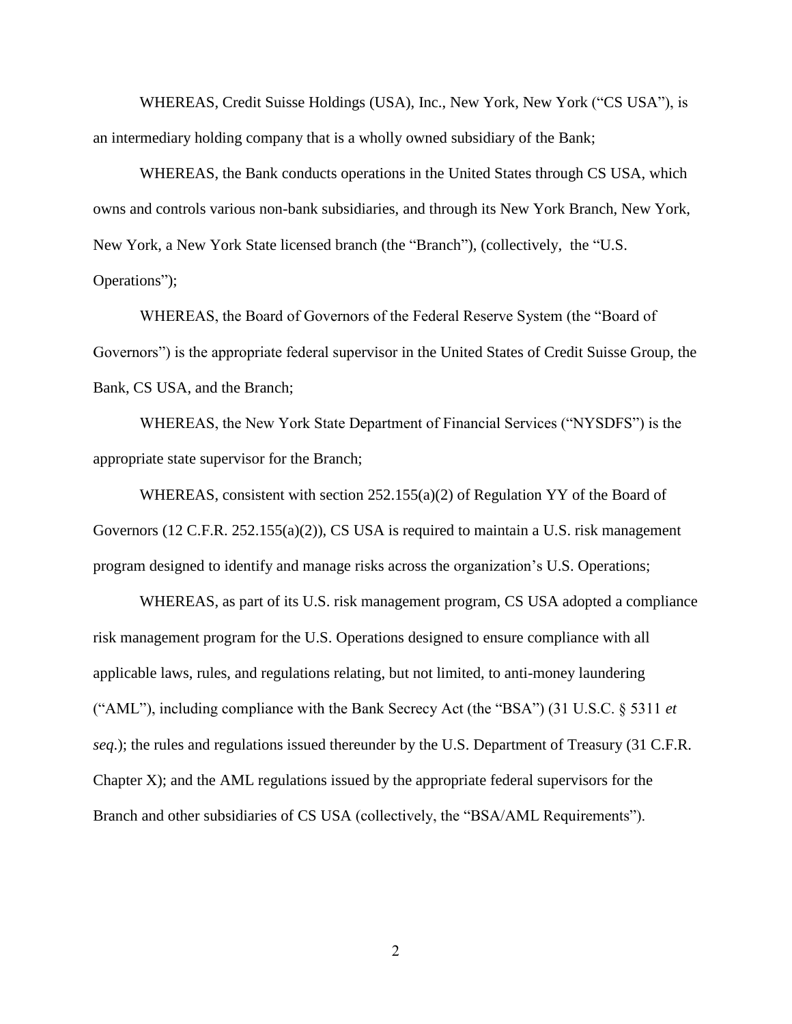WHEREAS, Credit Suisse Holdings (USA), Inc., New York, New York ("CS USA"), is an intermediary holding company that is a wholly owned subsidiary of the Bank;

WHEREAS, the Bank conducts operations in the United States through CS USA, which owns and controls various non-bank subsidiaries, and through its New York Branch, New York, New York, a New York State licensed branch (the "Branch"), (collectively, the "U.S. Operations");

WHEREAS, the Board of Governors of the Federal Reserve System (the "Board of Governors") is the appropriate federal supervisor in the United States of Credit Suisse Group, the Bank, CS USA, and the Branch;

WHEREAS, the New York State Department of Financial Services ("NYSDFS") is the appropriate state supervisor for the Branch;

WHEREAS, consistent with section 252.155(a)(2) of Regulation YY of the Board of Governors (12 C.F.R. 252.155(a)(2)), CS USA is required to maintain a U.S. risk management program designed to identify and manage risks across the organization's U.S. Operations;

WHEREAS, as part of its U.S. risk management program, CS USA adopted a compliance risk management program for the U.S. Operations designed to ensure compliance with all applicable laws, rules, and regulations relating, but not limited, to anti-money laundering ("AML"), including compliance with the Bank Secrecy Act (the "BSA") (31 U.S.C. § 5311 *et seq*.); the rules and regulations issued thereunder by the U.S. Department of Treasury (31 C.F.R. Chapter X); and the AML regulations issued by the appropriate federal supervisors for the Branch and other subsidiaries of CS USA (collectively, the "BSA/AML Requirements").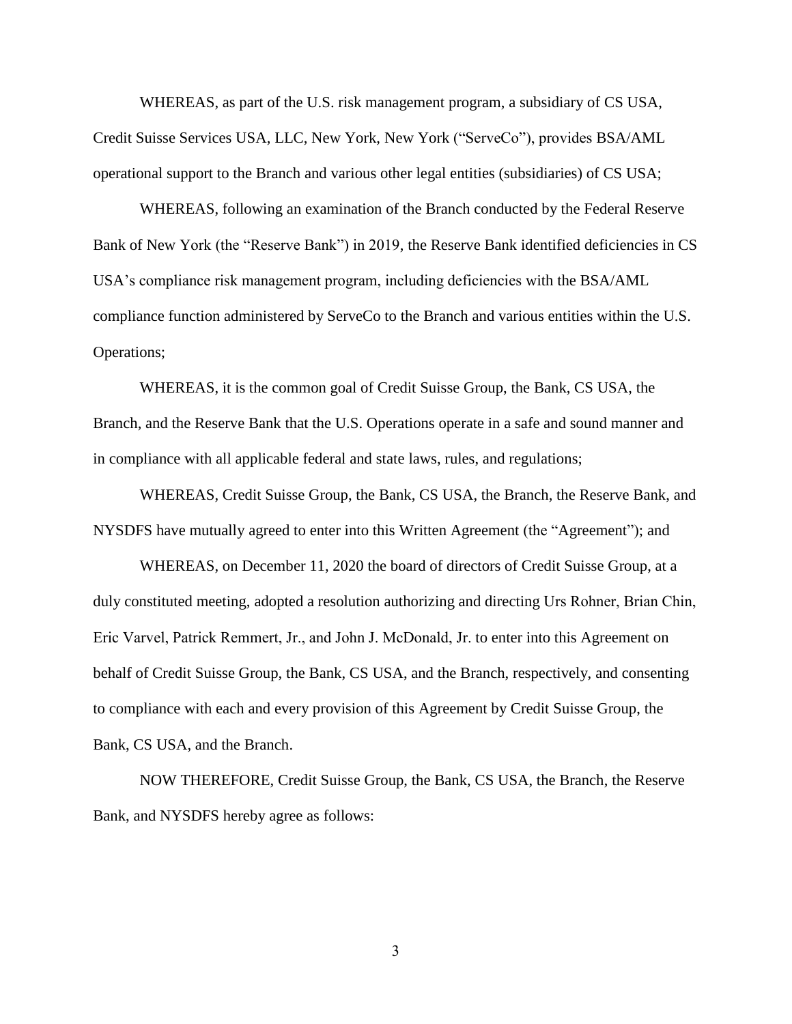WHEREAS, as part of the U.S. risk management program, a subsidiary of CS USA, Credit Suisse Services USA, LLC, New York, New York ("ServeCo"), provides BSA/AML operational support to the Branch and various other legal entities (subsidiaries) of CS USA;

WHEREAS, following an examination of the Branch conducted by the Federal Reserve Bank of New York (the "Reserve Bank") in 2019, the Reserve Bank identified deficiencies in CS USA's compliance risk management program, including deficiencies with the BSA/AML compliance function administered by ServeCo to the Branch and various entities within the U.S. Operations;

WHEREAS, it is the common goal of Credit Suisse Group, the Bank, CS USA, the Branch, and the Reserve Bank that the U.S. Operations operate in a safe and sound manner and in compliance with all applicable federal and state laws, rules, and regulations;

WHEREAS, Credit Suisse Group, the Bank, CS USA, the Branch, the Reserve Bank, and NYSDFS have mutually agreed to enter into this Written Agreement (the "Agreement"); and

WHEREAS, on December 11, 2020 the board of directors of Credit Suisse Group, at a duly constituted meeting, adopted a resolution authorizing and directing Urs Rohner, Brian Chin, Eric Varvel, Patrick Remmert, Jr., and John J. McDonald, Jr. to enter into this Agreement on behalf of Credit Suisse Group, the Bank, CS USA, and the Branch, respectively, and consenting to compliance with each and every provision of this Agreement by Credit Suisse Group, the Bank, CS USA, and the Branch.

NOW THEREFORE, Credit Suisse Group, the Bank, CS USA, the Branch, the Reserve Bank, and NYSDFS hereby agree as follows: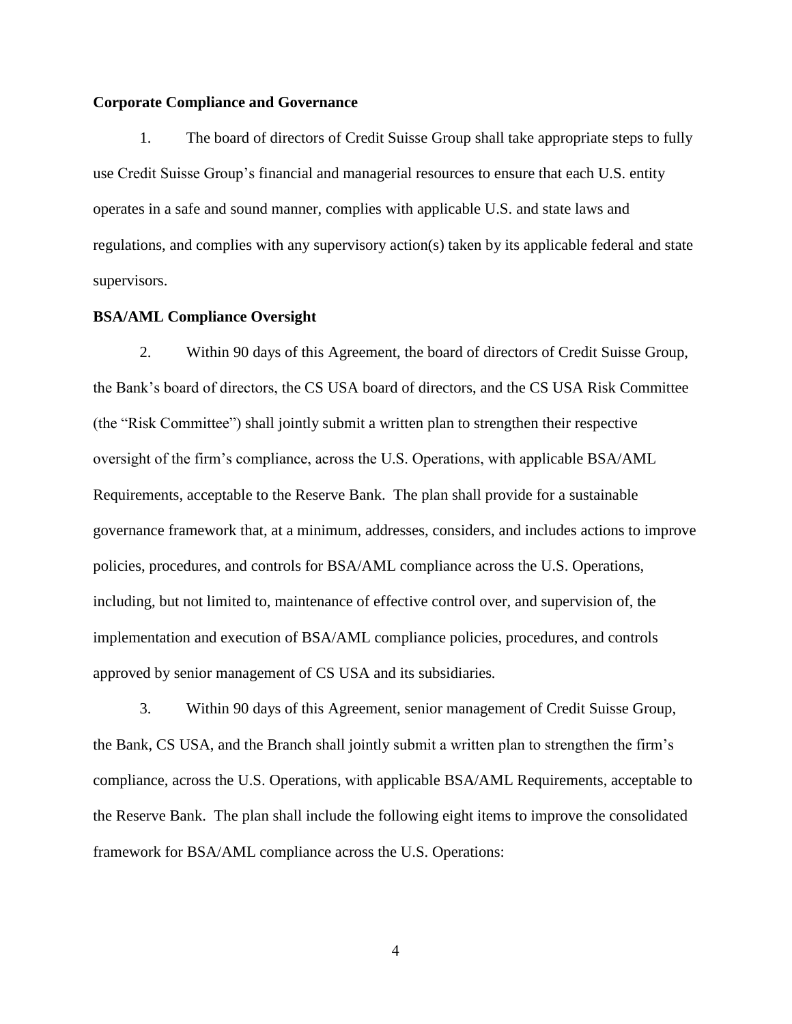#### **Corporate Compliance and Governance**

1. The board of directors of Credit Suisse Group shall take appropriate steps to fully use Credit Suisse Group's financial and managerial resources to ensure that each U.S. entity operates in a safe and sound manner, complies with applicable U.S. and state laws and regulations, and complies with any supervisory action(s) taken by its applicable federal and state supervisors.

#### **BSA/AML Compliance Oversight**

2. Within 90 days of this Agreement, the board of directors of Credit Suisse Group, the Bank's board of directors, the CS USA board of directors, and the CS USA Risk Committee (the "Risk Committee") shall jointly submit a written plan to strengthen their respective oversight of the firm's compliance, across the U.S. Operations, with applicable BSA/AML Requirements, acceptable to the Reserve Bank. The plan shall provide for a sustainable governance framework that, at a minimum, addresses, considers, and includes actions to improve policies, procedures, and controls for BSA/AML compliance across the U.S. Operations, including, but not limited to, maintenance of effective control over, and supervision of, the implementation and execution of BSA/AML compliance policies, procedures, and controls approved by senior management of CS USA and its subsidiaries*.*

3. Within 90 days of this Agreement, senior management of Credit Suisse Group, the Bank, CS USA, and the Branch shall jointly submit a written plan to strengthen the firm's compliance, across the U.S. Operations, with applicable BSA/AML Requirements, acceptable to the Reserve Bank. The plan shall include the following eight items to improve the consolidated framework for BSA/AML compliance across the U.S. Operations: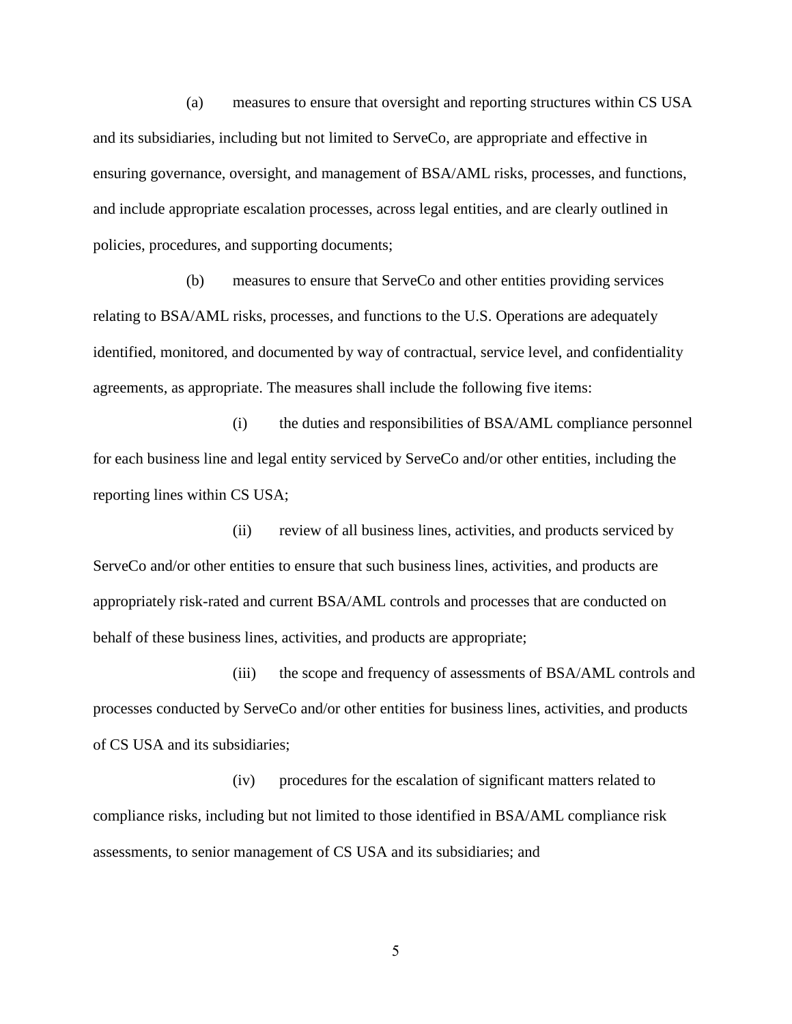(a) measures to ensure that oversight and reporting structures within CS USA and its subsidiaries, including but not limited to ServeCo, are appropriate and effective in ensuring governance, oversight, and management of BSA/AML risks, processes, and functions, and include appropriate escalation processes, across legal entities, and are clearly outlined in policies, procedures, and supporting documents;

(b) measures to ensure that ServeCo and other entities providing services relating to BSA/AML risks, processes, and functions to the U.S. Operations are adequately identified, monitored, and documented by way of contractual, service level, and confidentiality agreements, as appropriate. The measures shall include the following five items:

(i) the duties and responsibilities of BSA/AML compliance personnel for each business line and legal entity serviced by ServeCo and/or other entities, including the reporting lines within CS USA;

(ii) review of all business lines, activities, and products serviced by ServeCo and/or other entities to ensure that such business lines, activities, and products are appropriately risk-rated and current BSA/AML controls and processes that are conducted on behalf of these business lines, activities, and products are appropriate;

(iii) the scope and frequency of assessments of BSA/AML controls and processes conducted by ServeCo and/or other entities for business lines, activities, and products of CS USA and its subsidiaries;

(iv) procedures for the escalation of significant matters related to compliance risks, including but not limited to those identified in BSA/AML compliance risk assessments, to senior management of CS USA and its subsidiaries; and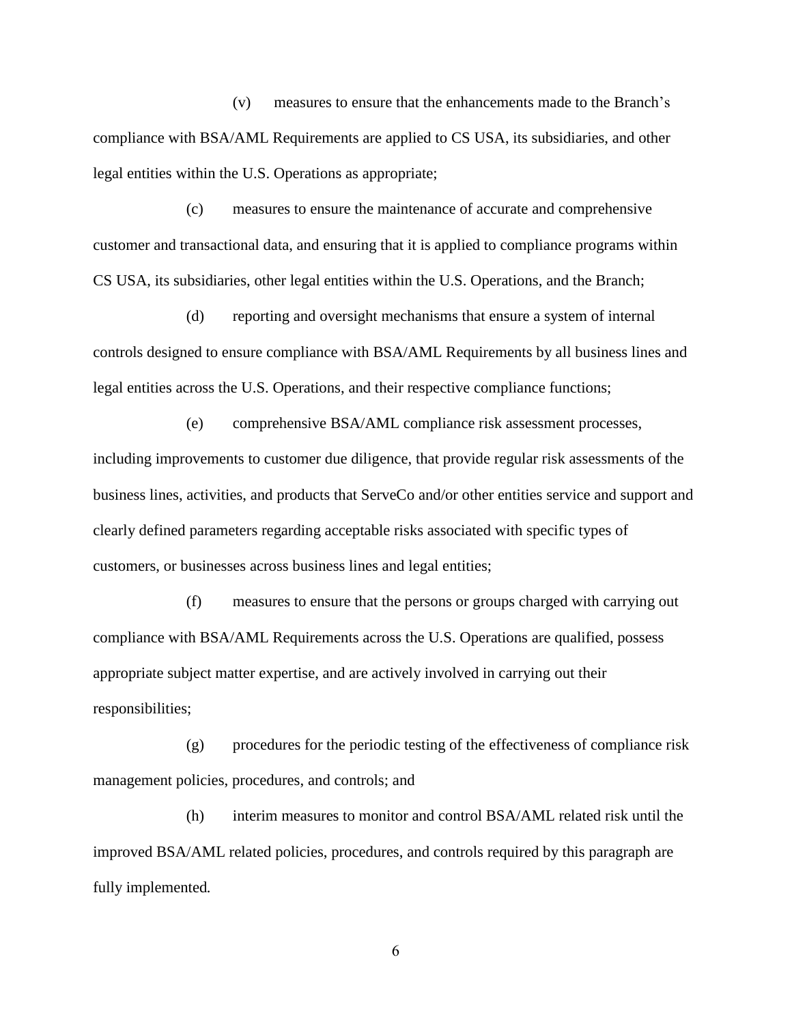(v) measures to ensure that the enhancements made to the Branch's compliance with BSA/AML Requirements are applied to CS USA, its subsidiaries, and other legal entities within the U.S. Operations as appropriate;

(c) measures to ensure the maintenance of accurate and comprehensive customer and transactional data, and ensuring that it is applied to compliance programs within CS USA, its subsidiaries, other legal entities within the U.S. Operations, and the Branch;

(d) reporting and oversight mechanisms that ensure a system of internal controls designed to ensure compliance with BSA/AML Requirements by all business lines and legal entities across the U.S. Operations, and their respective compliance functions;

(e) comprehensive BSA/AML compliance risk assessment processes, including improvements to customer due diligence, that provide regular risk assessments of the business lines, activities, and products that ServeCo and/or other entities service and support and clearly defined parameters regarding acceptable risks associated with specific types of customers, or businesses across business lines and legal entities;

(f) measures to ensure that the persons or groups charged with carrying out compliance with BSA/AML Requirements across the U.S. Operations are qualified, possess appropriate subject matter expertise, and are actively involved in carrying out their responsibilities;

(g) procedures for the periodic testing of the effectiveness of compliance risk management policies, procedures, and controls; and

(h) interim measures to monitor and control BSA/AML related risk until the improved BSA/AML related policies, procedures, and controls required by this paragraph are fully implemented*.*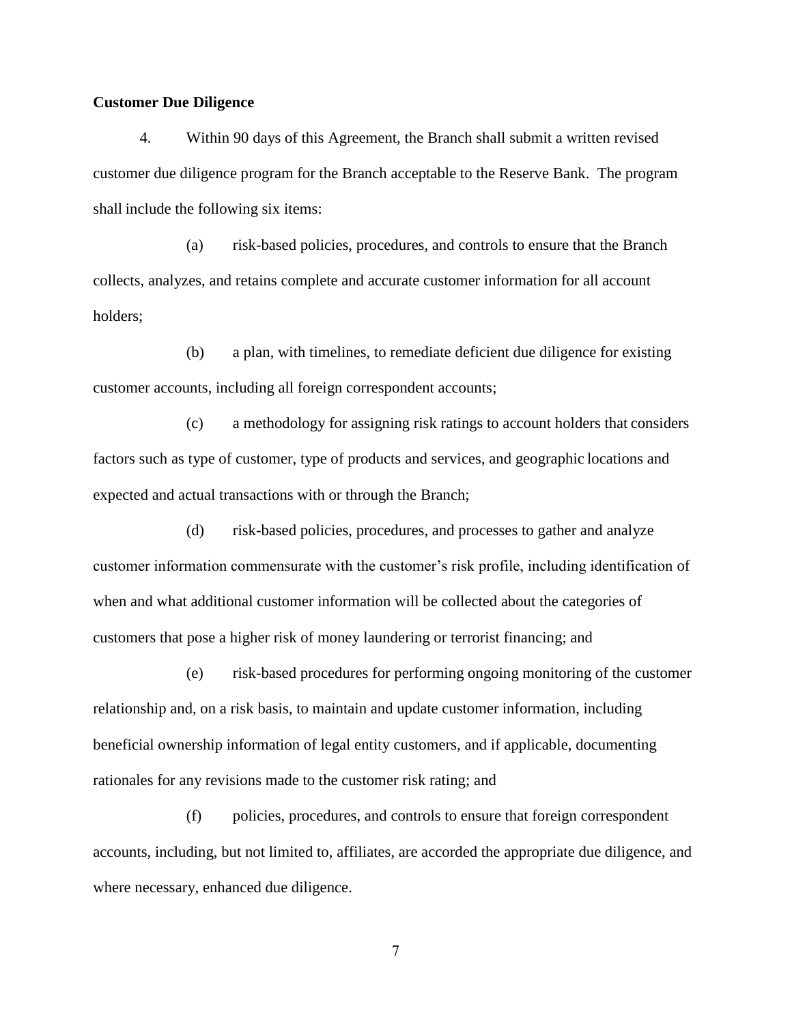#### **Customer Due Diligence**

4. Within 90 days of this Agreement, the Branch shall submit a written revised customer due diligence program for the Branch acceptable to the Reserve Bank. The program shall include the following six items:

(a) risk-based policies, procedures, and controls to ensure that the Branch collects, analyzes, and retains complete and accurate customer information for all account holders;

(b) a plan, with timelines, to remediate deficient due diligence for existing customer accounts, including all foreign correspondent accounts;

(c) a methodology for assigning risk ratings to account holders that considers factors such as type of customer, type of products and services, and geographic locations and expected and actual transactions with or through the Branch;

(d) risk-based policies, procedures, and processes to gather and analyze customer information commensurate with the customer's risk profile, including identification of when and what additional customer information will be collected about the categories of customers that pose a higher risk of money laundering or terrorist financing; and

(e) risk-based procedures for performing ongoing monitoring of the customer relationship and, on a risk basis, to maintain and update customer information, including beneficial ownership information of legal entity customers, and if applicable, documenting rationales for any revisions made to the customer risk rating; and

(f) policies, procedures, and controls to ensure that foreign correspondent accounts, including, but not limited to, affiliates, are accorded the appropriate due diligence, and where necessary, enhanced due diligence.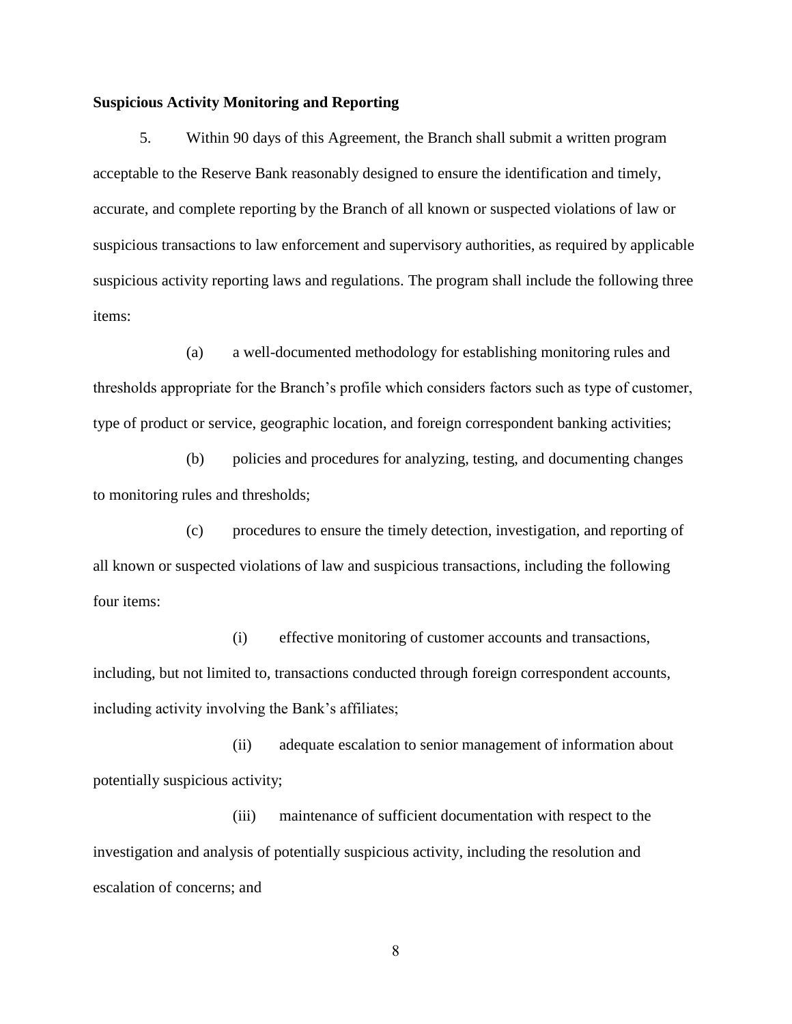#### **Suspicious Activity Monitoring and Reporting**

5. Within 90 days of this Agreement, the Branch shall submit a written program acceptable to the Reserve Bank reasonably designed to ensure the identification and timely, accurate, and complete reporting by the Branch of all known or suspected violations of law or suspicious transactions to law enforcement and supervisory authorities, as required by applicable suspicious activity reporting laws and regulations. The program shall include the following three items:

(a) a well-documented methodology for establishing monitoring rules and thresholds appropriate for the Branch's profile which considers factors such as type of customer, type of product or service, geographic location, and foreign correspondent banking activities;

(b) policies and procedures for analyzing, testing, and documenting changes to monitoring rules and thresholds;

(c) procedures to ensure the timely detection, investigation, and reporting of all known or suspected violations of law and suspicious transactions, including the following four items:

(i) effective monitoring of customer accounts and transactions, including, but not limited to, transactions conducted through foreign correspondent accounts, including activity involving the Bank's affiliates;

(ii) adequate escalation to senior management of information about potentially suspicious activity;

(iii) maintenance of sufficient documentation with respect to the investigation and analysis of potentially suspicious activity, including the resolution and escalation of concerns; and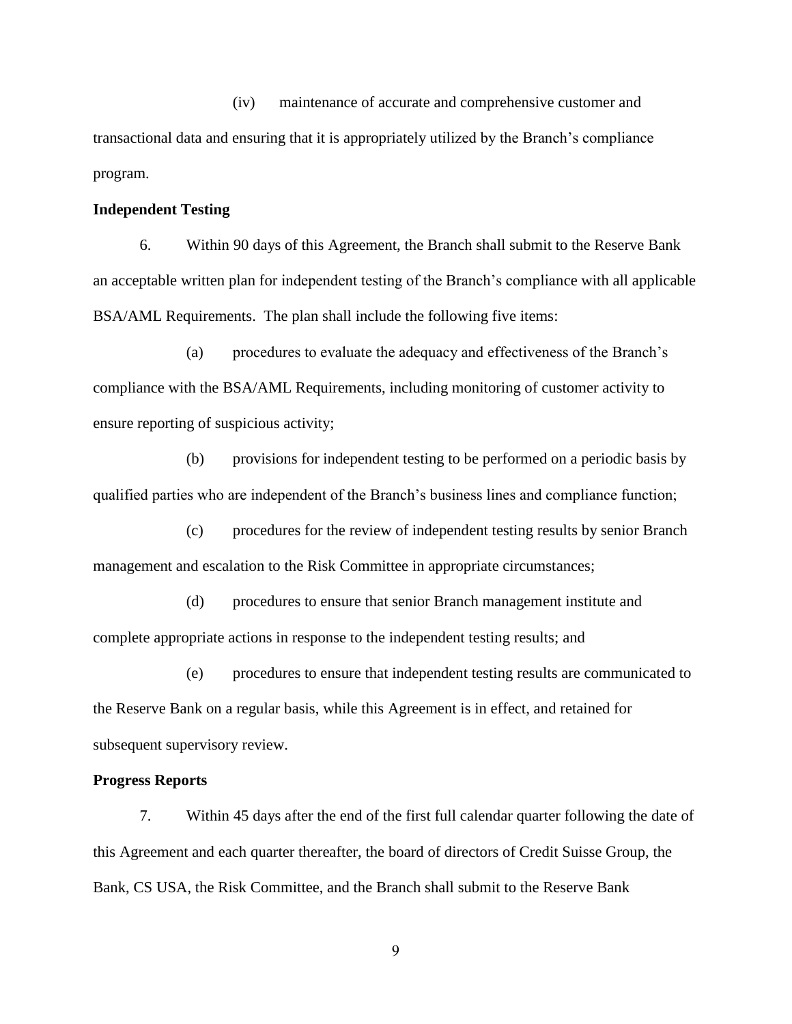(iv) maintenance of accurate and comprehensive customer and transactional data and ensuring that it is appropriately utilized by the Branch's compliance program.

#### **Independent Testing**

6. Within 90 days of this Agreement, the Branch shall submit to the Reserve Bank an acceptable written plan for independent testing of the Branch's compliance with all applicable BSA/AML Requirements. The plan shall include the following five items:

(a) procedures to evaluate the adequacy and effectiveness of the Branch's compliance with the BSA/AML Requirements, including monitoring of customer activity to ensure reporting of suspicious activity;

(b) provisions for independent testing to be performed on a periodic basis by qualified parties who are independent of the Branch's business lines and compliance function;

(c) procedures for the review of independent testing results by senior Branch management and escalation to the Risk Committee in appropriate circumstances;

(d) procedures to ensure that senior Branch management institute and complete appropriate actions in response to the independent testing results; and

(e) procedures to ensure that independent testing results are communicated to the Reserve Bank on a regular basis, while this Agreement is in effect, and retained for subsequent supervisory review.

#### **Progress Reports**

7. Within 45 days after the end of the first full calendar quarter following the date of this Agreement and each quarter thereafter, the board of directors of Credit Suisse Group, the Bank, CS USA, the Risk Committee, and the Branch shall submit to the Reserve Bank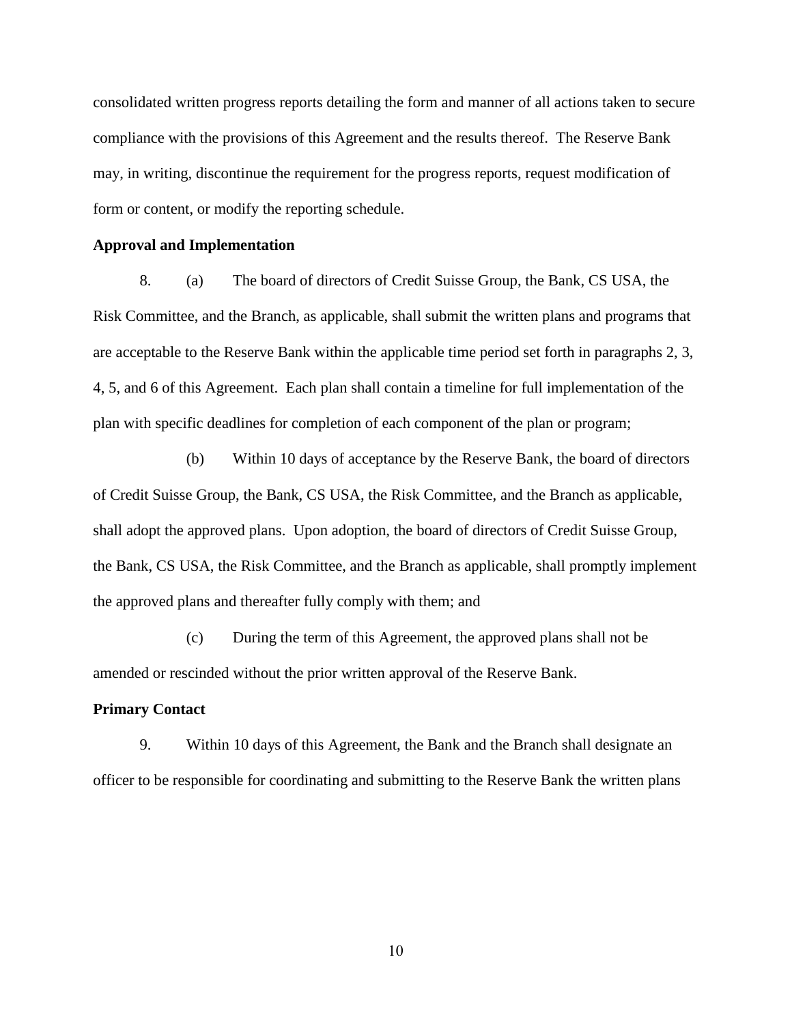consolidated written progress reports detailing the form and manner of all actions taken to secure compliance with the provisions of this Agreement and the results thereof. The Reserve Bank may, in writing, discontinue the requirement for the progress reports, request modification of form or content, or modify the reporting schedule.

#### **Approval and Implementation**

8. (a) The board of directors of Credit Suisse Group, the Bank, CS USA, the Risk Committee, and the Branch, as applicable, shall submit the written plans and programs that are acceptable to the Reserve Bank within the applicable time period set forth in paragraphs 2, 3, 4, 5, and 6 of this Agreement. Each plan shall contain a timeline for full implementation of the plan with specific deadlines for completion of each component of the plan or program;

(b) Within 10 days of acceptance by the Reserve Bank, the board of directors of Credit Suisse Group, the Bank, CS USA, the Risk Committee, and the Branch as applicable, shall adopt the approved plans. Upon adoption, the board of directors of Credit Suisse Group, the Bank, CS USA, the Risk Committee, and the Branch as applicable, shall promptly implement the approved plans and thereafter fully comply with them; and

(c) During the term of this Agreement, the approved plans shall not be amended or rescinded without the prior written approval of the Reserve Bank.

# **Primary Contact**

9. Within 10 days of this Agreement, the Bank and the Branch shall designate an officer to be responsible for coordinating and submitting to the Reserve Bank the written plans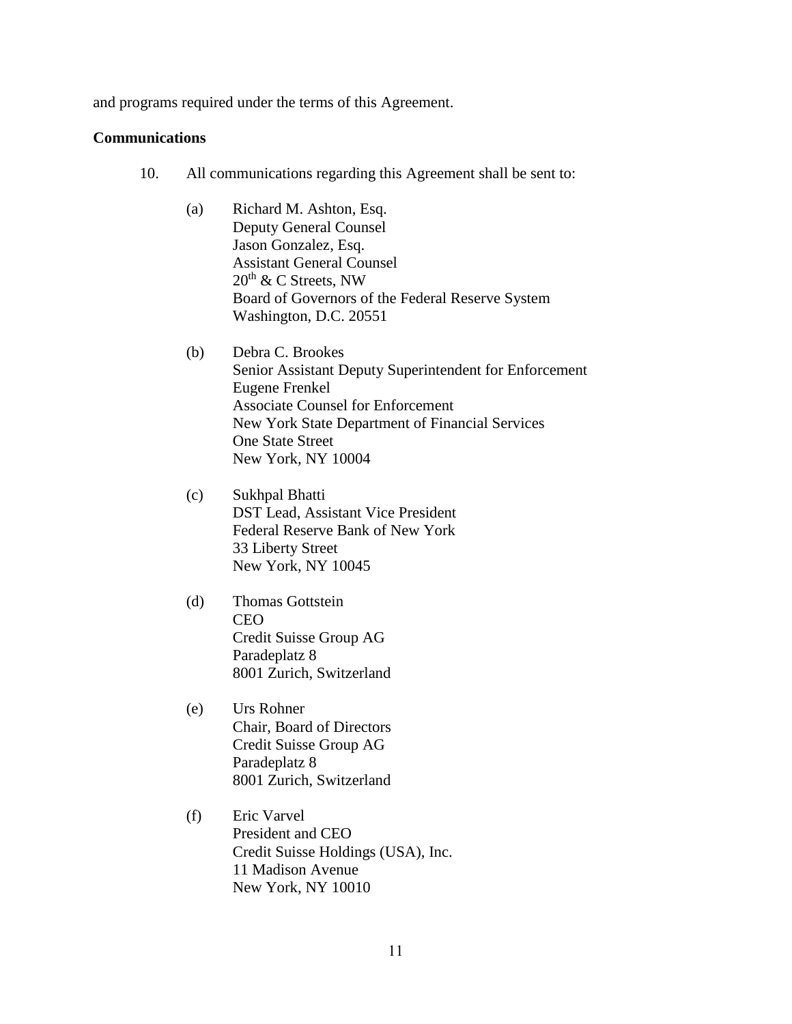and programs required under the terms of this Agreement.

### **Communications**

- 10. All communications regarding this Agreement shall be sent to:
	- (a) Richard M. Ashton, Esq. Deputy General Counsel Jason Gonzalez, Esq. Assistant General Counsel  $20^{th}$  & C Streets, NW Board of Governors of the Federal Reserve System Washington, D.C. 20551
	- (b) Debra C. Brookes Senior Assistant Deputy Superintendent for Enforcement Eugene Frenkel Associate Counsel for Enforcement New York State Department of Financial Services One State Street New York, NY 10004
	- (c) Sukhpal Bhatti DST Lead, Assistant Vice President Federal Reserve Bank of New York 33 Liberty Street New York, NY 10045
	- (d) Thomas Gottstein CEO Credit Suisse Group AG Paradeplatz 8 8001 Zurich, Switzerland
	- (e) Urs Rohner Chair, Board of Directors Credit Suisse Group AG Paradeplatz 8 8001 Zurich, Switzerland
	- (f) Eric Varvel President and CEO Credit Suisse Holdings (USA), Inc. 11 Madison Avenue New York, NY 10010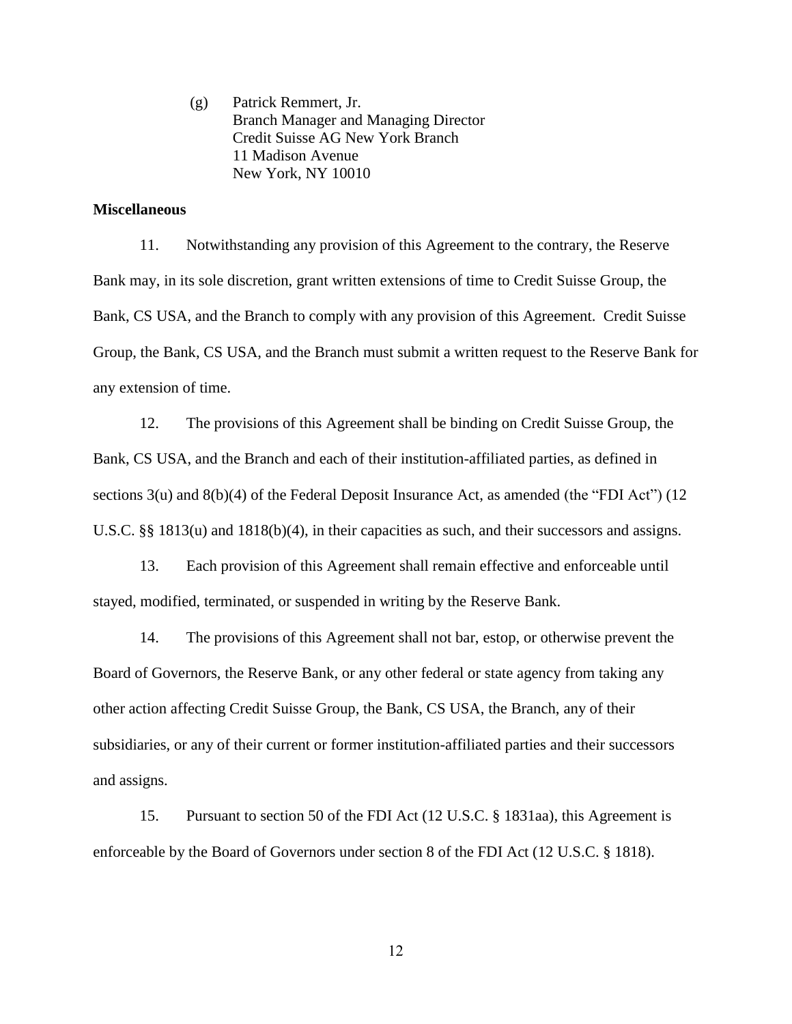(g) Patrick Remmert, Jr. Branch Manager and Managing Director Credit Suisse AG New York Branch 11 Madison Avenue New York, NY 10010

### **Miscellaneous**

11. Notwithstanding any provision of this Agreement to the contrary, the Reserve Bank may, in its sole discretion, grant written extensions of time to Credit Suisse Group, the Bank, CS USA, and the Branch to comply with any provision of this Agreement. Credit Suisse Group, the Bank, CS USA, and the Branch must submit a written request to the Reserve Bank for any extension of time.

12. The provisions of this Agreement shall be binding on Credit Suisse Group, the Bank, CS USA, and the Branch and each of their institution-affiliated parties, as defined in sections 3(u) and 8(b)(4) of the Federal Deposit Insurance Act, as amended (the "FDI Act") (12 U.S.C. §§ 1813(u) and 1818(b)(4), in their capacities as such, and their successors and assigns.

13. Each provision of this Agreement shall remain effective and enforceable until stayed, modified, terminated, or suspended in writing by the Reserve Bank.

14. The provisions of this Agreement shall not bar, estop, or otherwise prevent the Board of Governors, the Reserve Bank, or any other federal or state agency from taking any other action affecting Credit Suisse Group, the Bank, CS USA, the Branch, any of their subsidiaries, or any of their current or former institution-affiliated parties and their successors and assigns.

15. Pursuant to section 50 of the FDI Act (12 U.S.C. § 1831aa), this Agreement is enforceable by the Board of Governors under section 8 of the FDI Act (12 U.S.C. § 1818).